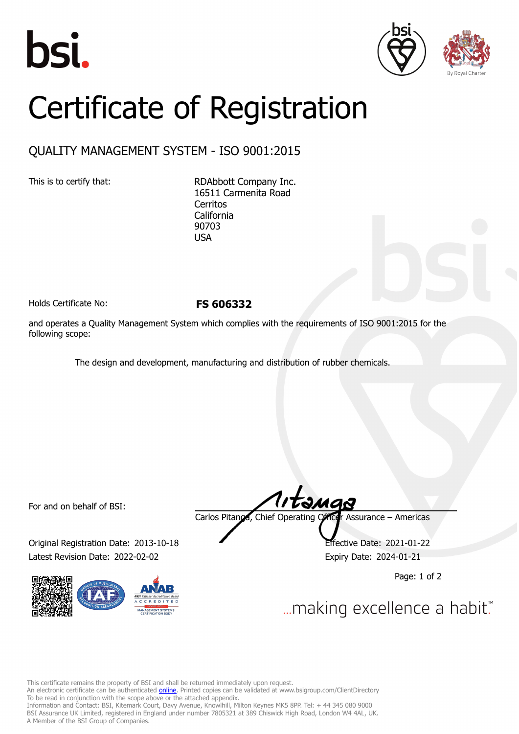





## Certificate of Registration

## QUALITY MANAGEMENT SYSTEM - ISO 9001:2015

This is to certify that: RDAbbott Company Inc. 16511 Carmenita Road **Cerritos** California 90703 USA

Holds Certificate No: **FS 606332**

and operates a Quality Management System which complies with the requirements of ISO 9001:2015 for the following scope:

The design and development, manufacturing and distribution of rubber chemicals.

For and on behalf of BSI:

Original Registration Date: 2013-10-18 Effective Date: 2021-01-22 Latest Revision Date: 2022-02-02 **Expiry Date: 2024-01-21** 



Carlos Pitanga, Chief Operating Officer Assurance – Americas

Page: 1 of 2

... making excellence a habit."

This certificate remains the property of BSI and shall be returned immediately upon request.

An electronic certificate can be authenticated *[online](https://pgplus.bsigroup.com/CertificateValidation/CertificateValidator.aspx?CertificateNumber=FS+606332&ReIssueDate=02%2f02%2f2022&Template=inc)*. Printed copies can be validated at www.bsigroup.com/ClientDirectory To be read in conjunction with the scope above or the attached appendix.

Information and Contact: BSI, Kitemark Court, Davy Avenue, Knowlhill, Milton Keynes MK5 8PP. Tel: + 44 345 080 9000 BSI Assurance UK Limited, registered in England under number 7805321 at 389 Chiswick High Road, London W4 4AL, UK. A Member of the BSI Group of Companies.